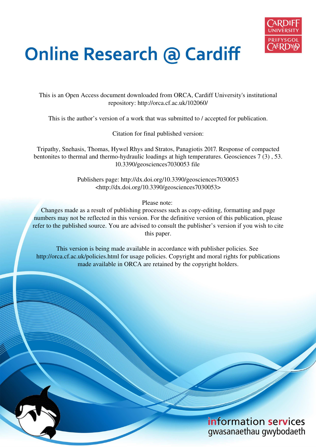

# **Online Research @ Cardiff**

This is an Open Access document downloaded from ORCA, Cardiff University's institutional repository: http://orca.cf.ac.uk/102060/

This is the author's version of a work that was submitted to / accepted for publication.

Citation for final published version:

Tripathy, Snehasis, Thomas, Hywel Rhys and Stratos, Panagiotis 2017. Response of compacted bentonites to thermal and thermo-hydraulic loadings at high temperatures. Geosciences 7 (3) , 53. 10.3390/geosciences7030053 file

> Publishers page: http://dx.doi.org/10.3390/geosciences7030053 <http://dx.doi.org/10.3390/geosciences7030053>

> > Please note:

Changes made as a result of publishing processes such as copy-editing, formatting and page numbers may not be reflected in this version. For the definitive version of this publication, please refer to the published source. You are advised to consult the publisher's version if you wish to cite this paper.

This version is being made available in accordance with publisher policies. See http://orca.cf.ac.uk/policies.html for usage policies. Copyright and moral rights for publications made available in ORCA are retained by the copyright holders.

## information services gwasanaethau gwybodaeth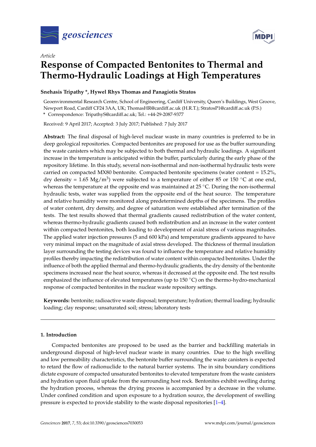

*Article*



# **Response of Compacted Bentonites to Thermal and Thermo-Hydraulic Loadings at High Temperatures**

## **Snehasis Tripathy \*, Hywel Rhys Thomas and Panagiotis Stratos**

Geoenvironmental Research Centre, School of Engineering, Cardiff University, Queen's Buildings, West Groove, Newport Road, Cardiff CF24 3AA, UK; ThomasHR@cardiff.ac.uk (H.R.T.); StratosP1@cardiff.ac.uk (P.S.)

**\*** Correspondence: TripathyS@cardiff.ac.uk; Tel.: +44-29-2087-9377

Received: 9 April 2017; Accepted: 3 July 2017; Published: 7 July 2017

**Abstract:** The final disposal of high-level nuclear waste in many countries is preferred to be in deep geological repositories. Compacted bentonites are proposed for use as the buffer surrounding the waste canisters which may be subjected to both thermal and hydraulic loadings. A significant increase in the temperature is anticipated within the buffer, particularly during the early phase of the repository lifetime. In this study, several non-isothermal and non-isothermal hydraulic tests were carried on compacted MX80 bentonite. Compacted bentonite specimens (water content = 15.2%, dry density = 1.65 Mg/m<sup>3</sup>) were subjected to a temperature of either 85 or 150 °C at one end, whereas the temperature at the opposite end was maintained at 25 ◦C. During the non-isothermal hydraulic tests, water was supplied from the opposite end of the heat source. The temperature and relative humidity were monitored along predetermined depths of the specimens. The profiles of water content, dry density, and degree of saturation were established after termination of the tests. The test results showed that thermal gradients caused redistribution of the water content, whereas thermo-hydraulic gradients caused both redistribution and an increase in the water content within compacted bentonites, both leading to development of axial stress of various magnitudes. The applied water injection pressures (5 and 600 kPa) and temperature gradients appeared to have very minimal impact on the magnitude of axial stress developed. The thickness of thermal insulation layer surrounding the testing devices was found to influence the temperature and relative humidity profiles thereby impacting the redistribution of water content within compacted bentonites. Under the influence of both the applied thermal and thermo-hydraulic gradients, the dry density of the bentonite specimens increased near the heat source, whereas it decreased at the opposite end. The test results emphasized the influence of elevated temperatures (up to  $150\degree C$ ) on the thermo-hydro-mechanical response of compacted bentonites in the nuclear waste repository settings.

**Keywords:** bentonite; radioactive waste disposal; temperature; hydration; thermal loading; hydraulic loading; clay response; unsaturated soil; stress; laboratory tests

## **1. Introduction**

Compacted bentonites are proposed to be used as the barrier and backfilling materials in underground disposal of high-level nuclear waste in many countries. Due to the high swelling and low permeability characteristics, the bentonite buffer surrounding the waste canisters is expected to retard the flow of radionuclide to the natural barrier systems. The in situ boundary conditions dictate exposure of compacted unsaturated bentonites to elevated temperature from the waste canisters and hydration upon fluid uptake from the surrounding host rock. Bentonites exhibit swelling during the hydration process, whereas the drying process is accompanied by a decrease in the volume. Under confined condition and upon exposure to a hydration source, the development of swelling pressure is expected to provide stability to the waste disposal repositories [\[1–](#page-22-0)[4\]](#page-22-1).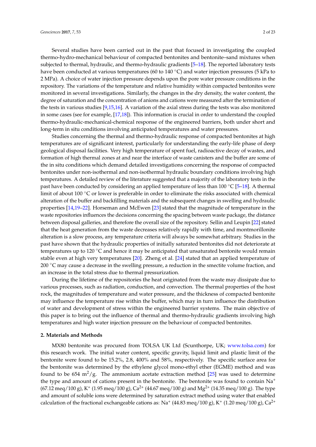Several studies have been carried out in the past that focused in investigating the coupled thermo-hydro-mechanical behaviour of compacted bentonites and bentonite–sand mixtures when subjected to thermal, hydraulic, and thermo-hydraulic gradients [\[5](#page-22-2)[–18\]](#page-23-0). The reported laboratory tests have been conducted at various temperatures (60 to 140 °C) and water injection pressures (5 kPa to 2 MPa). A choice of water injection pressure depends upon the pore water pressure conditions in the repository. The variations of the temperature and relative humidity within compacted bentonites were monitored in several investigations. Similarly, the changes in the dry density, the water content, the degree of saturation and the concentration of anions and cations were measured after the termination of the tests in various studies [\[9](#page-22-3)[,15](#page-23-1)[,16\]](#page-23-2). A variation of the axial stress during the tests was also monitored in some cases (see for example, [\[17,](#page-23-3)[18\]](#page-23-0)). This information is crucial in order to understand the coupled thermo-hydraulic-mechanical-chemical response of the engineered barriers, both under short and long-term in situ conditions involving anticipated temperatures and water pressures.

Studies concerning the thermal and thermo-hydraulic response of compacted bentonites at high temperatures are of significant interest, particularly for understanding the early-life phase of deep geological disposal facilities. Very high temperature of spent fuel, radioactive decay of wastes, and formation of high thermal zones at and near the interface of waste canisters and the buffer are some of the in situ conditions which demand detailed investigations concerning the response of compacted bentonites under non-isothermal and non-isothermal hydraulic boundary conditions involving high temperatures. A detailed review of the literature suggested that a majority of the laboratory tests in the past have been conducted by considering an applied temperature of less than 100 °C [\[5](#page-22-2)[–18\]](#page-23-0). A thermal limit of about 100 ◦C or lower is preferable in order to eliminate the risks associated with chemical alteration of the buffer and backfilling materials and the subsequent changes in swelling and hydraulic properties [\[14,](#page-22-4)[19–](#page-23-4)[22\]](#page-23-5). Horseman and McEwen [\[23\]](#page-23-6) stated that the magnitude of temperature in the waste repositories influences the decisions concerning the spacing between waste package, the distance between disposal galleries, and therefore the overall size of the repository. Sellin and Leupin [\[22\]](#page-23-5) stated that the heat generation from the waste decreases relatively rapidly with time, and montmorillonite alteration is a slow process, any temperature criteria will always be somewhat arbitrary. Studies in the past have shown that the hydraulic properties of initially saturated bentonites did not deteriorate at temperatures up to 120  $\degree$ C and hence it may be anticipated that unsaturated bentonite would remain stable even at high very temperatures [\[20\]](#page-23-7). Zheng et al. [\[24\]](#page-23-8) stated that an applied temperature of 200 ℃ may cause a decrease in the swelling pressure, a reduction in the smectite volume fraction, and an increase in the total stress due to thermal pressurization.

During the lifetime of the repositories the heat originated from the waste may dissipate due to various processes, such as radiation, conduction, and convection. The thermal properties of the host rock, the magnitudes of temperature and water pressure, and the thickness of compacted bentonite may influence the temperature rise within the buffer, which may in turn influence the distribution of water and development of stress within the engineered barrier systems. The main objective of this paper is to bring out the influence of thermal and thermo-hydraulic gradients involving high temperatures and high water injection pressure on the behaviour of compacted bentonites.

#### **2. Materials and Methods**

MX80 bentonite was procured from TOLSA UK Ltd (Scunthorpe, UK; [www.tolsa.com\)](www.tolsa.com) for this research work. The initial water content, specific gravity, liquid limit and plastic limit of the bentonite were found to be 15.2%, 2.8, 400% and 58%, respectively. The specific surface area for the bentonite was determined by the ethylene glycol mono-ethyl ether (EGME) method and was found to be 654 m<sup>2</sup>/g. The ammonium acetate extraction method [\[25\]](#page-23-9) was used to determine the type and amount of cations present in the bentonite. The bentonite was found to contain  $Na<sup>+</sup>$  $(67.12 \text{ meq}/100 \text{ g})$ , K<sup>+</sup>  $(1.95 \text{ meq}/100 \text{ g})$ , Ca<sup>2+</sup>  $(44.67 \text{ meq}/100 \text{ g})$  and Mg<sup>2+</sup>  $(14.35 \text{ meq}/100 \text{ g})$ . The type and amount of soluble ions were determined by saturation extract method using water that enabled calculation of the fractional exchangeable cations as:  $Na^+$  (44.83 meq/100 g),  $K^+$  (1.20 meq/100 g),  $Ca^{2+}$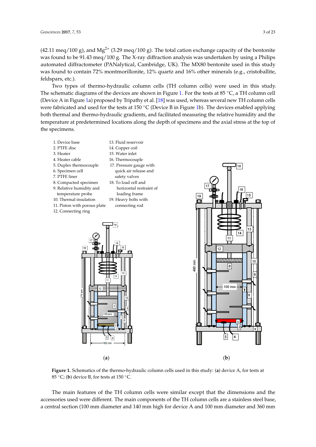(42.11 meq/100 g), and  $Mg^{2+}$  (3.29 meq/100 g). The total cation exchange capacity of the bentonite was found to be 91.43 meq/100 g. The X-ray diffraction analysis was undertaken by using a Philips automated diffractometer (PANalytical, Cambridge, UK). The MX80 bentonite used in this study was found to contain 72% montmorillonite, 12% quartz and 16% other minerals (e.g., cristoballite, feldspars, etc.).

Two types of thermo-hydraulic column cells (TH column cells) were used in this study. The schematic diagrams of the devices are shown in Figure [1.](#page-3-0) For the tests at 85 ◦C, a TH column cell (Device A in Figure [1a](#page-3-0)) proposed by Tripathy et al. [\[18\]](#page-23-0) was used, whereas several new TH column cells were fabricated and used for the tests at 150 °C (Device B in Figure [1b](#page-3-0)). The devices enabled applying both thermal and thermo-hydraulic gradients, and facilitated measuring the relative humidity and the temperature at predetermined locations along the depth of specimens and the axial stress at the top of the specimens.

<span id="page-3-0"></span>



Figure 1. Schematics of the thermo-hydraulic column cells used in this study: (a) device A, for tests at 85 °C; (**b**) device B, for tests at 150 °C.

The main features of the TH column cells were similar except that the dimensions and the accessories used were different. The main components of the TH column cells are a stainless steel base, a central section (100 mm diameter and 140 mm high for device A and 100 mm diameter and 360 mm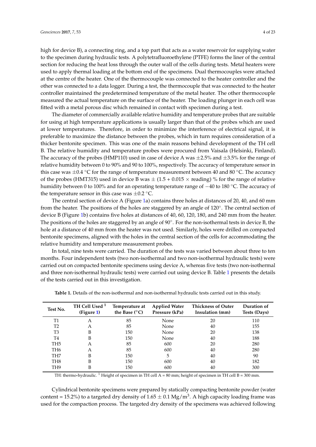high for device B), a connecting ring, and a top part that acts as a water reservoir for supplying water to the specimen during hydraulic tests. A polytetrafluoroethylene (PTFE) forms the liner of the central section for reducing the heat loss through the outer wall of the cells during tests. Metal heaters were used to apply thermal loading at the bottom end of the specimens. Dual thermocouples were attached at the centre of the heater. One of the thermocouple was connected to the heater controller and the other was connected to a data logger. During a test, the thermocouple that was connected to the heater controller maintained the predetermined temperature of the metal heater. The other thermocouple measured the actual temperature on the surface of the heater. The loading plunger in each cell was fitted with a metal porous disc which remained in contact with specimen during a test.

The diameter of commercially available relative humidity and temperature probes that are suitable for using at high temperature applications is usually larger than that of the probes which are used at lower temperatures. Therefore, in order to minimize the interference of electrical signal, it is preferable to maximize the distance between the probes, which in turn requires consideration of a thicker bentonite specimen. This was one of the main reasons behind development of the TH cell B. The relative humidity and temperature probes were procured from Vaisala (Helsinki, Finland). The accuracy of the probes (HMP110) used in case of device A was  $\pm$ 2.5% and  $\pm$ 3.5% for the range of relative humidity between 0 to 90% and 90 to 100%, respectively. The accuracy of temperature sensor in this case was  $\pm 0.4$  °C for the range of temperature measurement between 40 and 80 °C. The accuracy of the probes (HMT315) used in device B was  $\pm$  (1.5 + 0.015  $\times$  reading) % for the range of relative humidity between 0 to 100% and for an operating temperature range of −40 to 180 ◦C. The accuracy of the temperature sensor in this case was  $\pm 0.2$  °C.

The central section of device A (Figure [1a](#page-3-0)) contains three holes at distances of 20, 40, and 60 mm from the heater. The positions of the holes are staggered by an angle of 120°. The central section of device B (Figure [1b](#page-3-0)) contains five holes at distances of 40, 60, 120, 180, and 240 mm from the heater. The positions of the holes are staggered by an angle of 90◦ . For the non-isothermal tests in device B, the hole at a distance of 40 mm from the heater was not used. Similarly, holes were drilled on compacted bentonite specimens, aligned with the holes in the central section of the cells for accommodating the relative humidity and temperature measurement probes.

In total, nine tests were carried. The duration of the tests was varied between about three to ten months. Four independent tests (two non-isothermal and two non-isothermal hydraulic tests) were carried out on compacted bentonite specimens using device A, whereas five tests (two non-isothermal and three non-isothermal hydraulic tests) were carried out using device B. Table [1](#page-4-0) presents the details of the tests carried out in this investigation.

| Test No.        | TH Cell Used <sup>1</sup><br>(Figure 1) | Temperature at<br>the Base $(^{\circ}C)$ | <b>Applied Water</b><br>Pressure (kPa) | <b>Thickness of Outer</b><br>Insulation (mm) | Duration of<br>Tests (Days) |
|-----------------|-----------------------------------------|------------------------------------------|----------------------------------------|----------------------------------------------|-----------------------------|
| <b>T1</b>       | A                                       | 85                                       | None                                   | 20                                           | 110                         |
| T2              | A                                       | 85                                       | None                                   | 40                                           | 155                         |
| T3              | В                                       | 150                                      | None                                   | 20                                           | 138                         |
| T4              | В                                       | 150                                      | None                                   | 40                                           | 188                         |
| TH <sub>5</sub> | А                                       | 85                                       | 600                                    | 20                                           | 280                         |
| TH <sub>6</sub> | А                                       | 85                                       | 600                                    | 40                                           | 280                         |
| TH7             | B                                       | 150                                      | 5                                      | 40                                           | 90                          |
| TH8             | B                                       | 150                                      | 600                                    | 40                                           | 182                         |
| TH9             | B                                       | 150                                      | 600                                    | 40                                           | 300                         |

<span id="page-4-0"></span>**Table 1.** Details of the non-isothermal and non-isothermal hydraulic tests carried out in this study.

TH: thermo-hydraulic. <sup>1</sup> Height of specimen in TH cell A = 80 mm; height of specimen in TH cell B = 300 mm.

Cylindrical bentonite specimens were prepared by statically compacting bentonite powder (water content = 15.2%) to a targeted dry density of  $1.65 \pm 0.1$  Mg/m<sup>3</sup>. A high capacity loading frame was used for the compaction process. The targeted dry density of the specimens was achieved following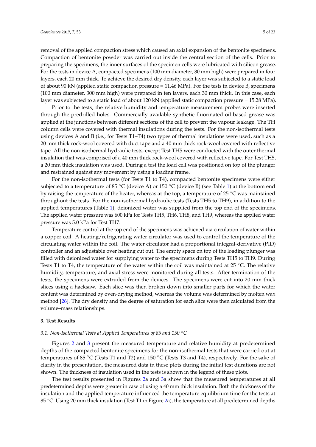removal of the applied compaction stress which caused an axial expansion of the bentonite specimens. Compaction of bentonite powder was carried out inside the central section of the cells. Prior to preparing the specimens, the inner surfaces of the specimen cells were lubricated with silicon grease. For the tests in device A, compacted specimens (100 mm diameter, 80 mm high) were prepared in four layers, each 20 mm thick. To achieve the desired dry density, each layer was subjected to a static load of about 90 kN (applied static compaction pressure = 11.46 MPa). For the tests in device B, specimens (100 mm diameter, 300 mm high) were prepared in ten layers, each 30 mm thick. In this case, each layer was subjected to a static load of about 120 kN (applied static compaction pressure = 15.28 MPa).

Prior to the tests, the relative humidity and temperature measurement probes were inserted through the predrilled holes. Commercially available synthetic fluorinated oil based grease was applied at the junctions between different sections of the cell to prevent the vapour leakage. The TH column cells were covered with thermal insulations during the tests. For the non-isothermal tests using devices A and B (i.e., for Tests T1–T4) two types of thermal insulations were used, such as a 20 mm thick rock-wool covered with duct tape and a 40 mm thick rock-wool covered with reflective tape. All the non-isothermal hydraulic tests, except Test TH5 were conducted with the outer thermal insulation that was comprised of a 40 mm thick rock-wool covered with reflective tape. For Test TH5, a 20 mm thick insulation was used. During a test the load cell was positioned on top of the plunger and restrained against any movement by using a loading frame.

For the non-isothermal tests (for Tests T1 to T4), compacted bentonite specimens were either subjected to a temperature of 85 °C (device A) or 150 °C (device B) (see Table [1\)](#page-4-0) at the bottom end by raising the temperature of the heater, whereas at the top, a temperature of 25 ◦C was maintained throughout the tests. For the non-isothermal hydraulic tests (Tests TH5 to TH9), in addition to the applied temperatures (Table [1\)](#page-4-0), deionized water was supplied from the top end of the specimens. The applied water pressure was 600 kPa for Tests TH5, TH6, TH8, and TH9, whereas the applied water pressure was 5.0 kPa for Test TH7.

Temperature control at the top end of the specimens was achieved via circulation of water within a copper coil. A heating/refrigerating water circulator was used to control the temperature of the circulating water within the coil. The water circulator had a proportional integral-derivative (PID) controller and an adjustable over heating cut out. The empty space on top of the loading plunger was filled with deionized water for supplying water to the specimens during Tests TH5 to TH9. During Tests T1 to T4, the temperature of the water within the coil was maintained at 25 °C. The relative humidity, temperature, and axial stress were monitored during all tests. After termination of the tests, the specimens were extruded from the devices. The specimens were cut into 20 mm thick slices using a hacksaw. Each slice was then broken down into smaller parts for which the water content was determined by oven-drying method, whereas the volume was determined by molten wax method [\[26\]](#page-23-10). The dry density and the degree of saturation for each slice were then calculated from the volume–mass relationships.

#### **3. Test Results**

#### *3.1. Non-Isothermal Tests at Applied Temperatures of 85 and 150* ◦*C*

Figures [2](#page-6-0) and [3](#page-7-0) present the measured temperature and relative humidity at predetermined depths of the compacted bentonite specimens for the non-isothermal tests that were carried out at temperatures of 85 °C (Tests T1 and T2) and 150 °C (Tests T3 and T4), respectively. For the sake of clarity in the presentation, the measured data in these plots during the initial test durations are not shown. The thickness of insulation used in the tests is shown in the legend of these plots.

The test results presented in Figures [2a](#page-6-0) and [3a](#page-7-0) show that the measured temperatures at all predetermined depths were greater in case of using a 40 mm thick insulation. Both the thickness of the insulation and the applied temperature influenced the temperature equilibrium time for the tests at 85 <sup>°</sup>C. Using 20 mm thick insulation (Test T1 in Figure [2a](#page-6-0)), the temperature at all predetermined depths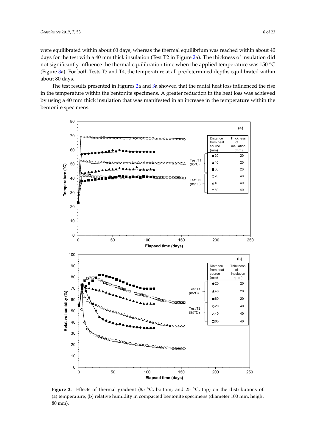were equilibrated within about 60 days, whereas the thermal equilibrium was reached within about 40 days for the test with a 40 mm thick insulation (Test T2 in Figure [2a](#page-6-0)). The thickness of insulation did not significantly influence the thermal equilibration time when the applied temperature was 150 °C (Figure [3a](#page-7-0)). For both Tests T3 and T4, the temperature at all predetermined depths equilibrated within about 80 days.

The test results presented in Figures [2a](#page-6-0) and [3a](#page-7-0) showed that the radial heat loss influenced the rise in the temperature within the bentonite specimens. A greater reduction in the heat loss was achieved by using a 40 mm thick insulation that was manifested in an increase in the temperature within the bentonite specimens.

<span id="page-6-0"></span>

Figure 2. Effects of thermal gradient (85 °C, bottom; and 25 °C, top) on the distributions of: (**a**) temperature; (**b**) relative humidity in compacted bentonite specimens (diameter 100 mm, height 80 mm).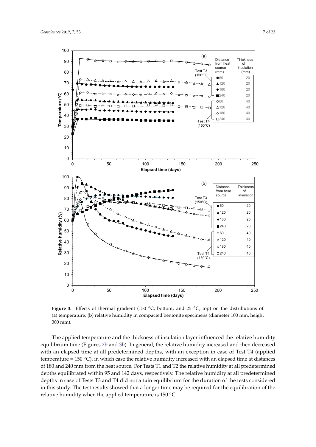<span id="page-7-0"></span>

**Figure 3.** Effects of thermal gradient (150 °C, bottom; and 25 °C, top) on the distributions of: (**a**) temperature; (**b**) relative humidity in compacted bentonite specimens (diameter 100 mm, height 300 mm).

The applied temperature and the thickness of insulation layer influenced the relative humidity equilibrium time (Figures [2b](#page-6-0) and [3b](#page-7-0)). In general, the relative humidity increased and then decreased with an elapsed time at all predetermined depths, with an exception in case of Test T4 (applied temperature =  $150 \degree C$ ), in which case the relative humidity increased with an elapsed time at distances of 180 and 240 mm from the heat source. For Tests T1 and T2 the relative humidity at all predetermined depths equilibrated within 95 and 142 days, respectively. The relative humidity at all predetermined depths in case of Tests T3 and T4 did not attain equilibrium for the duration of the tests considered in this study. The test results showed that a longer time may be required for the equilibration of the relative humidity when the applied temperature is 150 ◦C.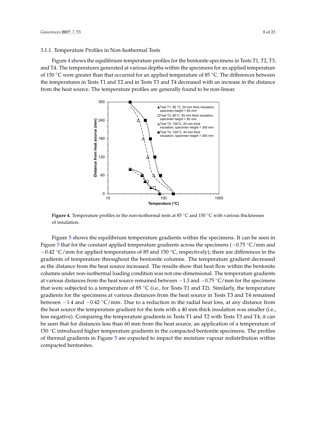#### 3.1.1. Temperature Profiles in Non-Isothermal Tests

<span id="page-8-0"></span>Figure [4](#page-8-0) shows the equilibrium temperature profiles for the bentonite specimens in Tests T1, T2, T3, and T4. The temperatures generated at various depths within the specimens for an applied temperature of 150 ◦C were greater than that occurred for an applied temperature of 85 ◦C. The differences between the temperatures in Tests T1 and T2 and in Tests T3 and T4 decreased with an increase in the distance from the heat source. The temperature profiles are generally found to be non-linear.



**Figure 4.** Temperature profiles in the non-isothermal tests at 85 ◦C and 150 ◦C with various thicknesses of insulation.

− −0.42 ◦C/mm for applied temperatures of 85 and 150 ◦C, respectively), there are differences in the gradients of temperature throughout the bentonite columns. The temperature gradient decreased that were subjected to a temperature of 85 °C (i.e., for Tests T1 and T2). Similarly, the temperature the heat source the temperature gradient for the tests with a 40 mm thick insulation was smaller (i.e., Figure [5](#page-9-0) shows the equilibrium temperature gradients within the specimens. It can be seen in Figure [5](#page-9-0) that for the constant applied temperature gradients across the specimens (−0.75 ◦C/mm and as the distance from the heat source increased. The results show that heat flow within the bentonite columns under non-isothermal loading condition was not one-dimensional. The temperature gradients at various distances from the heat source remained between −1.3 and −0.75 ◦C/mm for the specimens gradients for the specimens at various distances from the heat source in Tests T3 and T4 remained between  $-1.4$  and  $-0.42 \degree C/mm$ . Due to a reduction in the radial heat loss, at any distance from less negative). Comparing the temperature gradients in Tests T1 and T2 with Tests T3 and T4, it can be seen that for distances less than 60 mm from the heat source, an application of a temperature of 150 ◦C introduced higher temperature gradients in the compacted bentonite specimens. The profiles of thermal gradients in Figure [5](#page-9-0) are expected to impact the moisture vapour redistribution within compacted bentonites.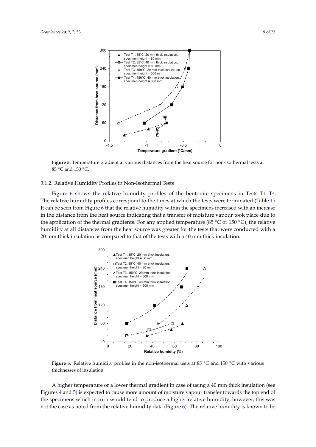<span id="page-9-0"></span>

Figure 5. Temperature gradient at various distances from the heat source for non-isothermal tests at 85 °C and 150 °C.

#### 3.1.2. Relative Humidity Profiles in Non-Isothermal Tests

Figure [6](#page-9-1) shows the relative humidity profiles of the bentonite specimens in Tests T1–T4. The relative humidity profiles correspond to the times at which the tests were terminated (Table [1\)](#page-4-0). It can be seen from Figure [6](#page-9-1) that the relative humidity within the specimens increased with an increase in the distance from the heat source indicating that a transfer of moisture vapour took place due to the application of the thermal gradients. For any applied temperature (85  $\degree$ C or 150  $\degree$ C), the relative humidity at all distances from the heat source was greater for the tests that were conducted with a 20 mm thick insulation as compared to that of the tests with a 40 mm thick insulation.

<span id="page-9-1"></span>

**Figure 6.** Relative humidity profiles in the non-isothermal tests at 85 ◦C and 150 ◦C with various thicknesses of insulation.

A higher temperature or a lower thermal gradient in case of using a 40 mm thick insulation (see Figures [4](#page-8-0) and [5\)](#page-9-0) is expected to cause more amount of moisture vapour transfer towards the top end of the specimens which in turn would tend to produce a higher relative humidity; however, this was not the case as noted from the relative humidity data (Figure [6\)](#page-9-1). The relative humidity is known to be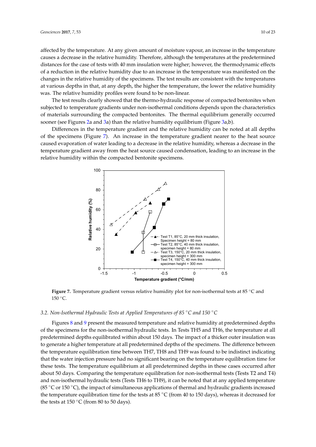affected by the temperature. At any given amount of moisture vapour, an increase in the temperature causes a decrease in the relative humidity. Therefore, although the temperatures at the predetermined distances for the case of tests with 40 mm insulation were higher; however, the thermodynamic effects of a reduction in the relative humidity due to an increase in the temperature was manifested on the changes in the relative humidity of the specimens. The test results are consistent with the temperatures at various depths in that, at any depth, the higher the temperature, the lower the relative humidity was. The relative humidity profiles were found to be non-linear.

The test results clearly showed that the thermo-hydraulic response of compacted bentonites when subjected to temperature gradients under non-isothermal conditions depends upon the characteristics of materials surrounding the compacted bentonites. The thermal equilibrium generally occurred sooner (see Figures [2a](#page-6-0) and [3a](#page-7-0)) than the relative humidity equilibrium (Figure [3a](#page-7-0),b).

<span id="page-10-0"></span>Differences in the temperature gradient and the relative humidity can be noted at all depths of the specimens (Figure [7\)](#page-10-0). An increase in the temperature gradient nearer to the heat source caused evaporation of water leading to a decrease in the relative humidity, whereas a decrease in the temperature gradient away from the heat source caused condensation, leading to an increase in the relative humidity within the compacted bentonite specimens.



**Figure 7.** Temperature gradient versus relative humidity plot for non-isothermal tests at 85 ◦C and 150 ◦C.

#### *3.2. Non-Isothermal Hydraulic Tests at Applied Temperatures of 85* ◦*C and 150* ◦*C*

Figures [8](#page-11-0) and [9](#page-12-0) present the measured temperature and relative humidity at predetermined depths of the specimens for the non-isothermal hydraulic tests. In Tests TH5 and TH6, the temperature at all predetermined depths equilibrated within about 150 days. The impact of a thicker outer insulation was to generate a higher temperature at all predetermined depths of the specimens. The difference between the temperature equilibration time between TH7, TH8 and TH9 was found to be indistinct indicating that the water injection pressure had no significant bearing on the temperature equilibration time for these tests. The temperature equilibrium at all predetermined depths in these cases occurred after about 50 days. Comparing the temperature equilibration for non-isothermal tests (Tests T2 and T4) and non-isothermal hydraulic tests (Tests TH6 to TH9), it can be noted that at any applied temperature (85 ◦C or 150 ◦C), the impact of simultaneous applications of thermal and hydraulic gradients increased the temperature equilibration time for the tests at 85  $\degree$ C (from 40 to 150 days), whereas it decreased for the tests at 150  $\mathrm{^{\circ}C}$  (from 80 to 50 days).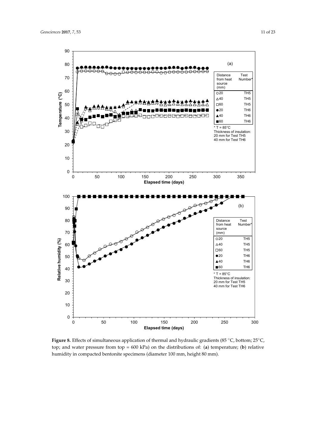

<span id="page-11-0"></span>

**Figure 8.** Effects of simultaneous application of thermal and hydraulic gradients (85 °C, bottom; 25°C, top; and water pressure from top = 600 kPa) on the distributions of: (**a**) temperature; (**b**) relative humidity in compacted bentonite specimens (diameter 100 mm, height 80 mm).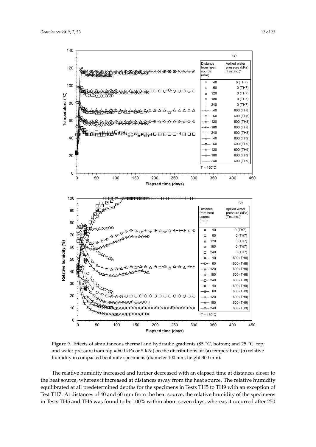<span id="page-12-0"></span>

**Figure 9.** Effects of simultaneous thermal and hydraulic gradients (85 °C, bottom; and 25 °C, top; and water pressure from top = 600 kPa or 5 kPa) on the distributions of: (**a**) temperature; (**b**) relative humidity in compacted bentonite specimens (diameter 100 mm, height 300 mm).

The relative humidity increased and further decreased with an elapsed time at distances closer to the heat source, whereas it increased at distances away from the heat source. The relative humidity equilibrated at all predetermined depths for the specimens in Tests TH5 to TH9 with an exception of Test TH7. At distances of 40 and 60 mm from the heat source, the relative humidity of the specimens in Tests TH5 and TH6 was found to be 100% within about seven days, whereas it occurred after 250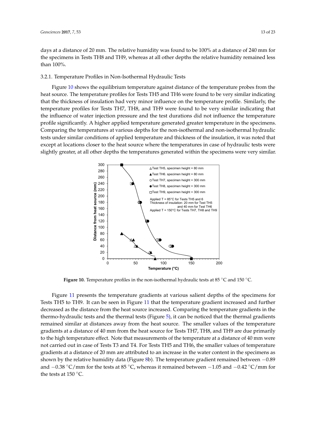days at a distance of 20 mm. The relative humidity was found to be 100% at a distance of 240 mm for the specimens in Tests TH8 and TH9, whereas at all other depths the relative humidity remained less than 100%.

#### 3.2.1. Temperature Profiles in Non-Isothermal Hydraulic Tests

Figure [10](#page-13-0) shows the equilibrium temperature against distance of the temperature probes from the heat source. The temperature profiles for Tests TH5 and TH6 were found to be very similar indicating that the thickness of insulation had very minor influence on the temperature profile. Similarly, the temperature profiles for Tests TH7, TH8, and TH9 were found to be very similar indicating that the influence of water injection pressure and the test durations did not influence the temperature profile significantly. A higher applied temperature generated greater temperature in the specimens. Comparing the temperatures at various depths for the non-isothermal and non-isothermal hydraulic tests under similar conditions of applied temperature and thickness of the insulation, it was noted that except at locations closer to the heat source where the temperatures in case of hydraulic tests were slightly greater, at all other depths the temperatures generated within the specimens were very similar.

<span id="page-13-0"></span>

**Figure 10.** Temperature profiles in the non-isothermal hydraulic tests at 85 ◦C and 150 ◦C.

and −0.38 °C/mm for the tests at 85 °C, whereas it remained between −1.05 and −0.42 °C/mm for the tests at 150 °C. − − Figure [11](#page-14-0) presents the temperature gradients at various salient depths of the specimens for Tests TH5 to TH9. It can be seen in Figure [11](#page-14-0) that the temperature gradient increased and further decreased as the distance from the heat source increased. Comparing the temperature gradients in the thermo-hydraulic tests and the thermal tests (Figure [5\)](#page-9-0), it can be noticed that the thermal gradients remained similar at distances away from the heat source. The smaller values of the temperature gradients at a distance of 40 mm from the heat source for Tests TH7, TH8, and TH9 are due primarily to the high temperature effect. Note that measurements of the temperature at a distance of 40 mm were not carried out in case of Tests T3 and T4. For Tests TH5 and TH6, the smaller values of temperature gradients at a distance of 20 mm are attributed to an increase in the water content in the specimens as shown by the relative humidity data (Figure [8b](#page-11-0)). The temperature gradient remained between −0.89 the tests at 150 ◦C.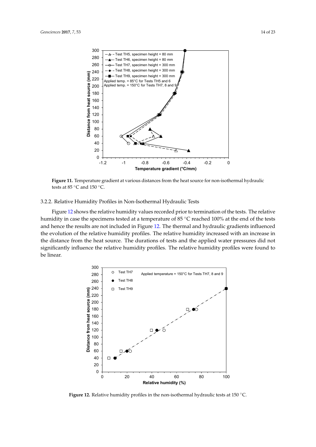<span id="page-14-0"></span>

Figure 11. Temperature gradient at various distances from the heat source for non-isothermal hydraulic tests at 85  $\degree$ C and 150  $\degree$ C.

#### 3.2.2. Relative Humidity Profiles in Non-Isothermal Hydraulic Tests

Figure [12](#page-14-1) shows the relative humidity values recorded prior to termination of the tests. The relative humidity in case the specimens tested at a temperature of 85 ◦C reached 100% at the end of the tests and hence the results are not included in Figure [12.](#page-14-1) The thermal and hydraulic gradients influenced the evolution of the relative humidity profiles. The relative humidity increased with an increase in the distance from the heat source. The durations of tests and the applied water pressures did not significantly influence the relative humidity profiles. The relative humidity profiles were found to be linear.

<span id="page-14-1"></span>

Figure 12. Relative humidity profiles in the non-isothermal hydraulic tests at 150 °C.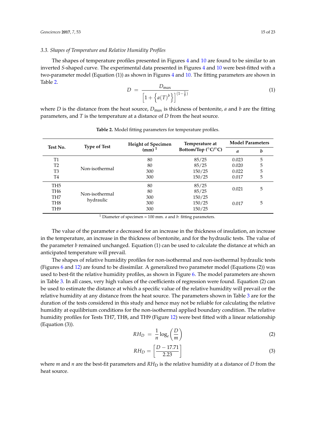#### *3.3. Shapes of Temperature and Relative Humidity Profiles*

The shapes of temperature profiles presented in Figures [4](#page-8-0) and [10](#page-13-0) are found to be similar to an inverted *S*-shaped curve. The experimental data presented in Figures [4](#page-8-0) and [10](#page-13-0) were best-fitted with a two-parameter model (Equation (1)) as shown in Figures [4](#page-8-0) and [10.](#page-13-0) The fitting parameters are shown in Table [2.](#page-15-0)

$$
D = \frac{D_{\max}}{\left[1 + \left\{a(T)^b\right\}\right]^{(1-\frac{1}{b})}}
$$
(1)

where *D* is the distance from the heat source,  $D_{\text{max}}$  is thickness of bentonite, *a* and *b* are the fitting parameters, and *T* is the temperature at a distance of *D* from the heat source.

<span id="page-15-0"></span>

| Test No.        | <b>Type of Test</b> | <b>Height of Specimen</b> | Temperature at                           | <b>Model Parameters</b> |   |
|-----------------|---------------------|---------------------------|------------------------------------------|-------------------------|---|
|                 |                     | $(mm)^1$                  | Bottom/Top ( $^{\circ}C$ / $^{\circ}C$ ) | a                       | b |
| <b>T1</b>       |                     | 80                        | 85/25                                    | 0.023                   | 5 |
| T <sub>2</sub>  |                     | 80                        | 85/25                                    | 0.020                   | 5 |
| T <sub>3</sub>  | Non-isothermal      | 300                       | 150/25                                   | 0.022                   | 5 |
| T4              |                     | 300                       | 150/25                                   | 0.017                   | 5 |
| TH <sub>5</sub> |                     | 80                        | 85/25                                    |                         |   |
| TH <sub>6</sub> | Non-isothermal      | 80                        | 85/25                                    | 0.021                   | 5 |
| TH <sub>7</sub> |                     | 300                       | 150/25                                   |                         |   |
| TH <sub>8</sub> | hydraulic           | 300                       | 150/25                                   | 0.017                   | 5 |
| TH <sub>9</sub> |                     | 300                       | 150/25                                   |                         |   |

**Table 2.** Model fitting parameters for temperature profiles.

<sup>1</sup> Diameter of specimen = 100 mm. *a* and *b*: fitting parameters.

The value of the parameter *a* decreased for an increase in the thickness of insulation, an increase in the temperature, an increase in the thickness of bentonite, and for the hydraulic tests. The value of the parameter *b* remained unchanged. Equation (1) can be used to calculate the distance at which an anticipated temperature will prevail.

The shapes of relative humidity profiles for non-isothermal and non-isothermal hydraulic tests (Figures [6](#page-9-1) and [12\)](#page-14-1) are found to be dissimilar. A generalized two parameter model (Equations (2)) was used to best-fit the relative humidity profiles, as shown in Figure [6.](#page-9-1) The model parameters are shown in Table [3.](#page-16-0) In all cases, very high values of the coefficients of regression were found. Equation (2) can be used to estimate the distance at which a specific value of the relative humidity will prevail or the relative humidity at any distance from the heat source. The parameters shown in Table [3](#page-16-0) are for the duration of the tests considered in this study and hence may not be reliable for calculating the relative humidity at equilibrium conditions for the non-isothermal applied boundary condition. The relative humidity profiles for Tests TH7, TH8, and TH9 (Figure [12\)](#page-14-1) were best fitted with a linear relationship (Equation (3)).

$$
RH_D = \frac{1}{n} \log_e \left(\frac{D}{m}\right) \tag{2}
$$

$$
RH_D = \left[\frac{D - 17.71}{2.23}\right]
$$
\n<sup>(3)</sup>

where *m* and *n* are the best-fit parameters and  $RH_D$  is the relative humidity at a distance of *D* from the heat source.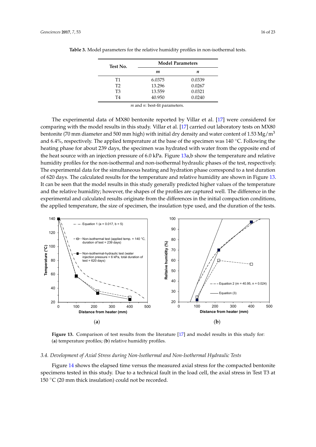|  | Test No. | <b>Model Parameters</b> |        |  |
|--|----------|-------------------------|--------|--|
|  |          | m                       | п      |  |
|  | Т1       | 6.0375                  | 0.0339 |  |
|  | T2       | 13.296                  | 0.0267 |  |
|  | T3       | 13.559                  | 0.0321 |  |
|  | T4       | 40.950                  | 0.0240 |  |
|  |          |                         |        |  |

<span id="page-16-0"></span>**Table 3.** Model parameters for the relative humidity profiles in non-isothermal tests.

*m* and *n*: best-fit parameters.

The experimental data of MX80 bentonite reported by Villar et al. [\[17\]](#page-23-3) were considered for comparing with the model results in this study. Villar et al. [\[17\]](#page-23-3) carried out laboratory tests on MX80 bentonite (70 mm diameter and 500 mm high) with initial dry density and water content of 1.53 Mg/m<sup>3</sup> and 6.4%, respectively. The applied temperature at the base of the specimen was 140 ◦C. Following the heating phase for about 239 days, the specimen was hydrated with water from the opposite end of the heat source with an injection pressure of 6.0 kPa. Figure [13a](#page-16-1),b show the temperature and relative humidity profiles for the non-isothermal and non-isothermal hydraulic phases of the test, respectively. The experimental data for the simultaneous heating and hydration phase correspond to a test duration of 620 days. The calculated results for the temperature and relative humidity are shown in Figure [13.](#page-16-1) It can be seen that the model results in this study generally predicted higher values of the temperature and the relative humidity; however, the shapes of the profiles are captured well. The difference in the experimental and calculated results originate from the differences in the initial compaction conditions, the applied temperature, the size of specimen, the insulation type used, and the duration of the tests.

<span id="page-16-1"></span>

Figure 13. Comparison of test results from the literature [\[17\]](#page-23-3) and model results in this study for: (**a**) temperature profiles; (**b**) relative humidity profiles.

#### *3.4. Development of Axial Stress during Non-Isothermal and Non-Isothermal Hydraulic Tests*

Figure [14](#page-17-0) shows the elapsed time versus the measured axial stress for the compacted bentonite specimens tested in this study. Due to a technical fault in the load cell, the axial stress in Test T3 at 150  $\mathrm{^{\circ}C}$  (20 mm thick insulation) could not be recorded.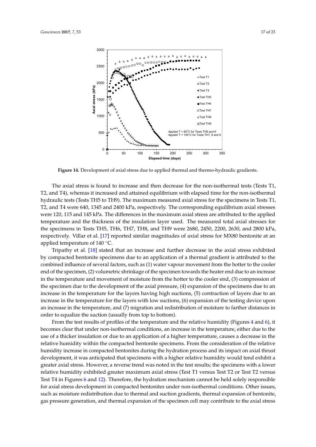<span id="page-17-0"></span>

**Figure 14.** Development of axial stress due to applied thermal and thermo-hydraulic gradients.

The axial stress is found to increase and then decrease for the non-isothermal tests (Tests T1, T2, and T4), whereas it increased and attained equilibrium with elapsed time for the non-isothermal hydraulic tests (Tests TH5 to TH9). The maximum measured axial stress for the specimens in Tests T1, T2, and T4 were 640, 1345 and 2400 kPa, respectively. The corresponding equilibrium axial stresses were 120, 115 and 145 kPa. The differences in the maximum axial stress are attributed to the applied temperature and the thickness of the insulation layer used. The measured total axial stresses for the specimens in Tests TH5, TH6, TH7, TH8, and TH9 were 2680, 2450, 2200, 2630, and 2800 kPa, respectively. Villar et al. [\[17\]](#page-23-3) reported similar magnitudes of axial stress for MX80 bentonite at an applied temperature of 140 ◦C.

Tripathy et al. [\[18\]](#page-23-0) stated that an increase and further decrease in the axial stress exhibited by compacted bentonite specimens due to an application of a thermal gradient is attributed to the combined influence of several factors, such as (1) water vapour movement from the hotter to the cooler end of the specimen, (2) volumetric shrinkage of the specimen towards the heater end due to an increase in the temperature and movement of moisture from the hotter to the cooler end, (3) compression of the specimen due to the development of the axial pressure, (4) expansion of the specimens due to an increase in the temperature for the layers having high suctions, (5) contraction of layers due to an increase in the temperature for the layers with low suctions, (6) expansion of the testing device upon an increase in the temperature, and (7) migration and redistribution of moisture to farther distances in order to equalize the suction (usually from top to bottom).

From the test results of profiles of the temperature and the relative humidity (Figures [4](#page-8-0) and [6\)](#page-9-1), it becomes clear that under non-isothermal conditions, an increase in the temperature, either due to the use of a thicker insulation or due to an application of a higher temperature, causes a decrease in the relative humidity within the compacted bentonite specimens. From the consideration of the relative humidity increase in compacted bentonites during the hydration process and its impact on axial thrust development, it was anticipated that specimens with a higher relative humidity would tend exhibit a greater axial stress. However, a reverse trend was noted in the test results; the specimens with a lower relative humidity exhibited greater maximum axial stress (Test T1 versus Test T2 or Test T2 versus Test T4 in Figures [6](#page-9-1) and [12\)](#page-14-1). Therefore, the hydration mechanism cannot be held solely responsible for axial stress development in compacted bentonites under non-isothermal conditions. Other issues, such as moisture redistribution due to thermal and suction gradients, thermal expansion of bentonite, gas pressure generation, and thermal expansion of the specimen cell may contribute to the axial stress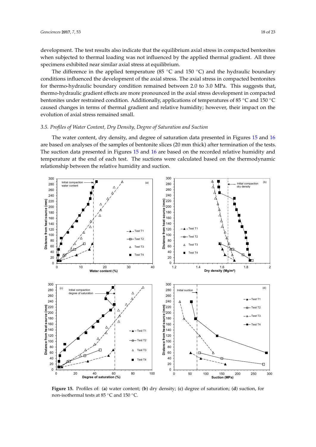development. The test results also indicate that the equilibrium axial stress in compacted bentonites when subjected to thermal loading was not influenced by the applied thermal gradient. All three specimens exhibited near similar axial stress at equilibrium.

The difference in the applied temperature (85  $°C$  and 150  $°C$ ) and the hydraulic boundary conditions influenced the development of the axial stress. The axial stress in compacted bentonites for thermo-hydraulic boundary condition remained between 2.0 to 3.0 MPa. This suggests that, thermo-hydraulic gradient effects are more pronounced in the axial stress development in compacted bentonites under restrained condition. Additionally, applications of temperatures of 85 ◦C and 150 ◦C caused changes in terms of thermal gradient and relative humidity; however, their impact on the evolution of axial stress remained small.

#### *3.5. Profiles of Water Content, Dry Density, Degree of Saturation and Suction*

The water content, dry density, and degree of saturation data presented in Figures [15](#page-18-0) and [16](#page-19-0) are based on analyses of the samples of bentonite slices (20 mm thick) after termination of the tests. The suction data presented in Figures [15](#page-18-0) and [16](#page-19-0) are based on the recorded relative humidity and temperature at the end of each test. The suctions were calculated based on the thermodynamic relationship between the relative humidity and suction.

<span id="page-18-0"></span>

Figure 15. Profiles of: (a) water content; (b) dry density; (c) degree of saturation; (d) suction, for non-isothermal tests at 85 ◦C and 150 ◦C.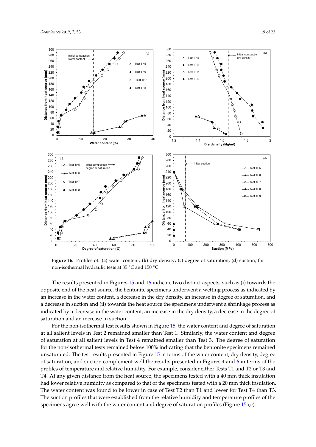<span id="page-19-0"></span>

Figure 16. Profiles of: (a) water content; (b) dry density; (c) degree of saturation; (d) suction, for non-isothermal hydraulic tests at 85 ◦C and 150 ◦C.

The results presented in Figures [15](#page-18-0) and [16](#page-19-0) indicate two distinct aspects, such as (i) towards the opposite end of the heat source, the bentonite specimens underwent a wetting process as indicated by an increase in the water content, a decrease in the dry density, an increase in degree of saturation, and a decrease in suction and (ii) towards the heat source the specimens underwent a shrinkage process as indicated by a decrease in the water content, an increase in the dry density, a decrease in the degree of saturation and an increase in suction.

For the non-isothermal test results shown in Figure [15,](#page-18-0) the water content and degree of saturation at all salient levels in Test 2 remained smaller than Test 1. Similarly, the water content and degree of saturation at all salient levels in Test 4 remained smaller than Test 3. The degree of saturation for the non-isothermal tests remained below 100% indicating that the bentonite specimens remained unsaturated. The test results presented in Figure [15](#page-18-0) in terms of the water content, dry density, degree of saturation, and suction complement well the results presented in Figures [4](#page-8-0) and [6](#page-9-1) in terms of the profiles of temperature and relative humidity. For example, consider either Tests T1 and T2 or T3 and T4. At any given distance from the heat source, the specimens tested with a 40 mm thick insulation had lower relative humidity as compared to that of the specimens tested with a 20 mm thick insulation. The water content was found to be lower in case of Test T2 than T1 and lower for Test T4 than T3. The suction profiles that were established from the relative humidity and temperature profiles of the specimens agree well with the water content and degree of saturation profiles (Figure [15a](#page-18-0),c).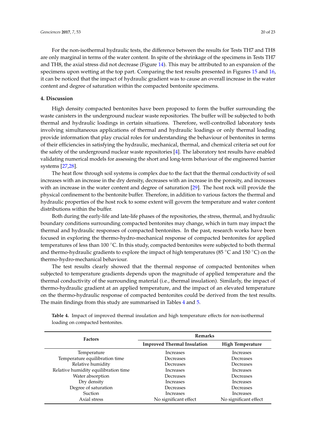For the non-isothermal hydraulic tests, the difference between the results for Tests TH7 and TH8 are only marginal in terms of the water content. In spite of the shrinkage of the specimens in Tests TH7 and TH8, the axial stress did not decrease (Figure [14\)](#page-17-0). This may be attributed to an expansion of the specimens upon wetting at the top part. Comparing the test results presented in Figures [15](#page-18-0) and [16,](#page-19-0) it can be noticed that the impact of hydraulic gradient was to cause an overall increase in the water content and degree of saturation within the compacted bentonite specimens.

#### **4. Discussion**

High density compacted bentonites have been proposed to form the buffer surrounding the waste canisters in the underground nuclear waste repositories. The buffer will be subjected to both thermal and hydraulic loadings in certain situations. Therefore, well-controlled laboratory tests involving simultaneous applications of thermal and hydraulic loadings or only thermal loading provide information that play crucial roles for understanding the behaviour of bentonites in terms of their efficiencies in satisfying the hydraulic, mechanical, thermal, and chemical criteria set out for the safety of the underground nuclear waste repositories [\[4\]](#page-22-1). The laboratory test results have enabled validating numerical models for assessing the short and long-term behaviour of the engineered barrier systems [\[27](#page-23-11)[,28\]](#page-23-12).

The heat flow through soil systems is complex due to the fact that the thermal conductivity of soil increases with an increase in the dry density, decreases with an increase in the porosity, and increases with an increase in the water content and degree of saturation [\[29\]](#page-23-13). The host rock will provide the physical confinement to the bentonite buffer. Therefore, in addition to various factors the thermal and hydraulic properties of the host rock to some extent will govern the temperature and water content distributions within the buffer.

Both during the early-life and late-life phases of the repositories, the stress, thermal, and hydraulic boundary conditions surrounding compacted bentonites may change, which in turn may impact the thermal and hydraulic responses of compacted bentonites. In the past, research works have been focused in exploring the thermo-hydro-mechanical response of compacted bentonites for applied temperatures of less than 100 °C. In this study, compacted bentonites were subjected to both thermal and thermo-hydraulic gradients to explore the impact of high temperatures (85 ◦C and 150 ◦C) on the thermo-hydro-mechanical behaviour.

The test results clearly showed that the thermal response of compacted bentonites when subjected to temperature gradients depends upon the magnitude of applied temperature and the thermal conductivity of the surrounding material (i.e., thermal insulation). Similarly, the impact of thermo-hydraulic gradient at an applied temperature, and the impact of an elevated temperature on the thermo-hydraulic response of compacted bentonites could be derived from the test results. The main findings from this study are summarised in Tables [4](#page-20-0) and [5.](#page-21-0)

| <b>Factors</b>                       | <b>Remarks</b>                     |                       |  |
|--------------------------------------|------------------------------------|-----------------------|--|
|                                      | <b>Improved Thermal Insulation</b> | High Temperature      |  |
| Temperature                          | Increases                          | Increases             |  |
| Temperature equilibration time       | Decreases                          | Decreases             |  |
| Relative humidity                    | Decreases                          | Decreases             |  |
| Relative humidity equilibration time | Increases                          | Increases             |  |
| Water absorption                     | Decreases                          | Decreases             |  |
| Dry density                          | <b>Increases</b>                   | Increases             |  |
| Degree of saturation                 | Decreases                          | Decreases             |  |
| <b>Suction</b>                       | Increases                          | Increases             |  |
| Axial stress                         | No significant effect              | No significant effect |  |

<span id="page-20-0"></span>**Table 4.** Impact of improved thermal insulation and high temperature effects for non-isothermal loading on compacted bentonites.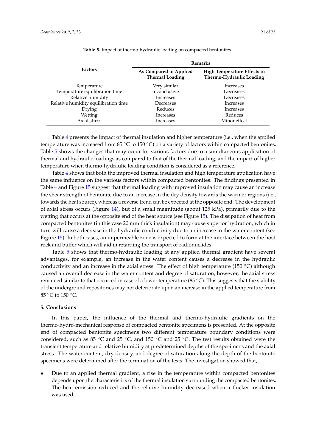<span id="page-21-0"></span>

|                                      | <b>Remarks</b>                                   |                                                         |  |
|--------------------------------------|--------------------------------------------------|---------------------------------------------------------|--|
| <b>Factors</b>                       | As Compared to Applied<br><b>Thermal Loading</b> | High Temperature Effects in<br>Thermo-Hydraulic Loading |  |
| Temperature                          | Very similar                                     | Increases                                               |  |
| Temperature equilibration time       | Inconclusive                                     | Decreases                                               |  |
| Relative humidity                    | Increases                                        | Decreases                                               |  |
| Relative humidity equilibration time | Decreases                                        | Increases                                               |  |
| Drying                               | Reduces                                          | <b>Increases</b>                                        |  |
| Wetting                              | Increases                                        | Reduces                                                 |  |
| Axial stress                         | Increases                                        | Minor effect                                            |  |

**Table 5.** Impact of thermo-hydraulic loading on compacted bentonites.

Table [4](#page-20-0) presents the impact of thermal insulation and higher temperature (i.e., when the applied temperature was increased from 85  $\degree$ C to 150  $\degree$ C) on a variety of factors within compacted bentonites. Table [5](#page-21-0) shows the changes that may occur for various factors due to a simultaneous application of thermal and hydraulic loadings as compared to that of the thermal loading, and the impact of higher temperature when thermo-hydraulic loading condition is considered as a reference.

Table [4](#page-20-0) shows that both the improved thermal insulation and high temperature application have the same influence on the various factors within compacted bentonites. The findings presented in Table [4](#page-20-0) and Figure [15](#page-18-0) suggest that thermal loading with improved insulation may cause an increase the shear strength of bentonite due to an increase in the dry density towards the warmer regions (i.e., towards the heat source), whereas a reverse trend can be expected at the opposite end. The development of axial stress occurs (Figure [14\)](#page-17-0), but of a small magnitude (about 125 kPa), primarily due to the wetting that occurs at the opposite end of the heat source (see Figure [15\)](#page-18-0). The dissipation of heat from compacted bentonites (in this case 20 mm thick insulation) may cause superior hydration, which in turn will cause a decrease in the hydraulic conductivity due to an increase in the water content (see Figure [15\)](#page-18-0). In both cases, an impermeable zone is expected to form at the interface between the host rock and buffer which will aid in retarding the transport of radionuclides.

Table [5](#page-21-0) shows that thermo-hydraulic loading at any applied thermal gradient have several advantages, for example, an increase in the water content causes a decrease in the hydraulic conductivity and an increase in the axial stress. The effect of high temperature (150  $\degree$ C) although caused an overall decrease in the water content and degree of saturation; however, the axial stress remained similar to that occurred in case of a lower temperature (85 °C). This suggests that the stability of the underground repositories may not deteriorate upon an increase in the applied temperature from 85 °C to 150 °C.

#### **5. Conclusions**

In this paper, the influence of the thermal and thermo-hydraulic gradients on the thermo-hydro-mechanical response of compacted bentonite specimens is presented. At the opposite end of compacted bentonite specimens two different temperature boundary conditions were considered, such as 85 °C and 25 °C, and 150 °C and 25 °C. The test results obtained were the transient temperature and relative humidity at predetermined depths of the specimens and the axial stress. The water content, dry density, and degree of saturation along the depth of the bentonite specimens were determined after the termination of the tests. The investigation showed that,

• Due to an applied thermal gradient, a rise in the temperature within compacted bentonites depends upon the characteristics of the thermal insulation surrounding the compacted bentonites. The heat emission reduced and the relative humidity decreased when a thicker insulation was used.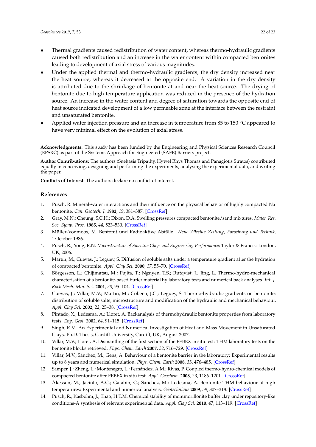- Thermal gradients caused redistribution of water content, whereas thermo-hydraulic gradients caused both redistribution and an increase in the water content within compacted bentonites leading to development of axial stress of various magnitudes.
- Under the applied thermal and thermo-hydraulic gradients, the dry density increased near the heat source, whereas it decreased at the opposite end. A variation in the dry density is attributed due to the shrinkage of bentonite at and near the heat source. The drying of bentonite due to high temperature application was reduced in the presence of the hydration source. An increase in the water content and degree of saturation towards the opposite end of heat source indicated development of a low permeable zone at the interface between the restraint and unsaturated bentonite.
- Applied water injection pressure and an increase in temperature from 85 to 150  $\degree$ C appeared to have very minimal effect on the evolution of axial stress.

**Acknowledgments:** This study has been funded by the Engineering and Physical Sciences Research Council (EPSRC) as part of the Systems Approach for Engineered (SAFE) Barriers project.

**Author Contributions:** The authors (Snehasis Tripathy, Hywel Rhys Thomas and Panagiotis Stratos) contributed equally in conceiving, designing and performing the experiments, analysing the experimental data, and writing the paper.

**Conflicts of Interest:** The authors declare no conflict of interest.

#### **References**

- <span id="page-22-0"></span>1. Pusch, R. Mineral-water interactions and their influence on the physical behavior of highly compacted Na bentonite. *Can. Geotech. J.* **1982**, *19*, 381–387. [\[CrossRef\]](http://dx.doi.org/10.1139/t82-041)
- 2. Gray, M.N.; Cheung, S.C.H.; Dixon, D.A. Swelling pressures compacted bentonite/sand mixtures. *Mater. Res. Soc. Symp. Proc.* **1985**, *44*, 523–530. [\[CrossRef\]](http://dx.doi.org/10.1557/PROC-44-523)
- 3. Müller-Vonmoos, M. Bentonit und Radioaktive Abfälle. *Neue Zürcher Zeitung, Forschung und Technik*, 1 October 1986.
- <span id="page-22-1"></span>4. Pusch, R.; Yong, R.N. *Microstructure of Smectite Clays and Engineering Performance*; Taylor & Francis: London, UK, 2006.
- <span id="page-22-2"></span>5. Martın, M.; Cuevas, J.; Leguey, S. Diffusion of soluble salts under a temperature gradient after the hydration of compacted bentonite. *Appl. Clay Sci.* **2000**, *17*, 55–70. [\[CrossRef\]](http://dx.doi.org/10.1016/S0169-1317(00)00006-5)
- 6. Börgesson, L.; Chijimatsu, M.; Fujita, T.; Nguyen, T.S.; Rutqvist, J.; Jing, L. Thermo-hydro-mechanical characterisation of a bentonite-based buffer material by laboratory tests and numerical back analyses. *Int. J. Rock Mech. Min. Sci.* **2001**, *38*, 95–104. [\[CrossRef\]](http://dx.doi.org/10.1016/S1365-1609(00)00067-8)
- 7. Cuevas, J.; Villar, M.V.; Martın, M.; Cobena, J.C.; Leguey, S. Thermo-hydraulic gradients on bentonite: distribution of soluble salts, microstructure and modification of the hydraulic and mechanical behaviour. *Appl. Clay Sci.* **2002**, *22*, 25–38. [\[CrossRef\]](http://dx.doi.org/10.1016/S0169-1317(02)00109-6)
- 8. Pintado, X.; Ledesma, A.; Lloret, A. Backanalysis of thermohydraulic bentonite properties from laboratory tests. *Eng. Geol.* **2002**, *64*, 91–115. [\[CrossRef\]](http://dx.doi.org/10.1016/S0013-7952(01)00110-7)
- <span id="page-22-3"></span>9. Singh, R.M. An Experimental and Numerical Investigation of Heat and Mass Movement in Unsaturated Clays. Ph.D. Thesis, Cardiff University, Cardiff, UK, August 2007.
- 10. Villar, M.V.; Lloret, A. Dismantling of the first section of the FEBEX in situ test: THM laboratory tests on the bentonite blocks retrieved. *Phys. Chem. Earth* **2007**, *32*, 716–729. [\[CrossRef\]](http://dx.doi.org/10.1016/j.pce.2006.03.009)
- 11. Villar, M.V.; Sánchez, M.; Gens, A. Behaviour of a bentonite barrier in the laboratory: Experimental results up to 8 years and numerical simulation. *Phys. Chem. Earth* **2008**, *33*, 476–485. [\[CrossRef\]](http://dx.doi.org/10.1016/j.pce.2008.10.055)
- 12. Samper, J.; Zheng, L.; Montenegro, L.; Fernández, A.M.; Rivas, P. Coupled thermo-hydro-chemical models of compacted bentonite after FEBEX in situ test. *Appl. Geochem.* **2008**, *23*, 1186–1201. [\[CrossRef\]](http://dx.doi.org/10.1016/j.apgeochem.2007.11.010)
- 13. Åkesson, M.; Jacinto, A.C.; Gatabin, C.; Sanchez, M.; Ledesma, A. Bentonite THM behaviour at high temperatures: Experimental and numerical analysis. *Géotechnique* **2009**, *59*, 307–318. [\[CrossRef\]](http://dx.doi.org/10.1680/geot.2009.59.4.307)
- <span id="page-22-4"></span>14. Pusch, R.; Kasbohm, J.; Thao, H.T.M. Chemical stability of montmorillonite buffer clay under repository-like conditions-A synthesis of relevant experimental data. *Appl. Clay Sci.* **2010**, *47*, 113–119. [\[CrossRef\]](http://dx.doi.org/10.1016/j.clay.2009.01.002)